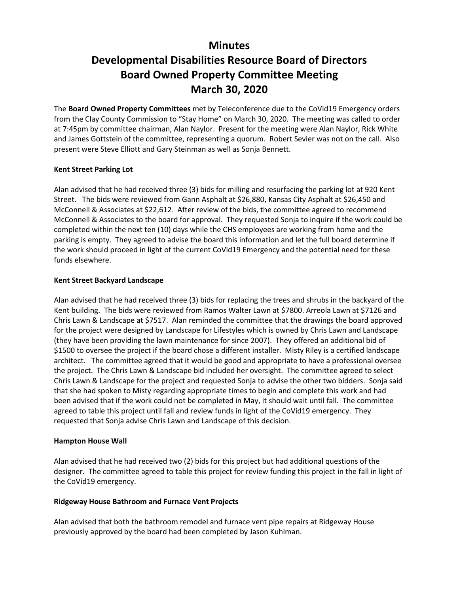## **Minutes**

# **Developmental Disabilities Resource Board of Directors Board Owned Property Committee Meeting March 30, 2020**

The **Board Owned Property Committees** met by Teleconference due to the CoVid19 Emergency orders from the Clay County Commission to "Stay Home" on March 30, 2020. The meeting was called to order at 7:45pm by committee chairman, Alan Naylor. Present for the meeting were Alan Naylor, Rick White and James Gottstein of the committee, representing a quorum. Robert Sevier was not on the call. Also present were Steve Elliott and Gary Steinman as well as Sonja Bennett.

#### **Kent Street Parking Lot**

Alan advised that he had received three (3) bids for milling and resurfacing the parking lot at 920 Kent Street. The bids were reviewed from Gann Asphalt at \$26,880, Kansas City Asphalt at \$26,450 and McConnell & Associates at \$22,612. After review of the bids, the committee agreed to recommend McConnell & Associates to the board for approval. They requested Sonja to inquire if the work could be completed within the next ten (10) days while the CHS employees are working from home and the parking is empty. They agreed to advise the board this information and let the full board determine if the work should proceed in light of the current CoVid19 Emergency and the potential need for these funds elsewhere.

### **Kent Street Backyard Landscape**

Alan advised that he had received three (3) bids for replacing the trees and shrubs in the backyard of the Kent building. The bids were reviewed from Ramos Walter Lawn at \$7800. Arreola Lawn at \$7126 and Chris Lawn & Landscape at \$7517. Alan reminded the committee that the drawings the board approved for the project were designed by Landscape for Lifestyles which is owned by Chris Lawn and Landscape (they have been providing the lawn maintenance for since 2007). They offered an additional bid of \$1500 to oversee the project if the board chose a different installer. Misty Riley is a certified landscape architect. The committee agreed that it would be good and appropriate to have a professional oversee the project. The Chris Lawn & Landscape bid included her oversight. The committee agreed to select Chris Lawn & Landscape for the project and requested Sonja to advise the other two bidders. Sonja said that she had spoken to Misty regarding appropriate times to begin and complete this work and had been advised that if the work could not be completed in May, it should wait until fall. The committee agreed to table this project until fall and review funds in light of the CoVid19 emergency. They requested that Sonja advise Chris Lawn and Landscape of this decision.

#### **Hampton House Wall**

Alan advised that he had received two (2) bids for this project but had additional questions of the designer. The committee agreed to table this project for review funding this project in the fall in light of the CoVid19 emergency.

#### **Ridgeway House Bathroom and Furnace Vent Projects**

Alan advised that both the bathroom remodel and furnace vent pipe repairs at Ridgeway House previously approved by the board had been completed by Jason Kuhlman.